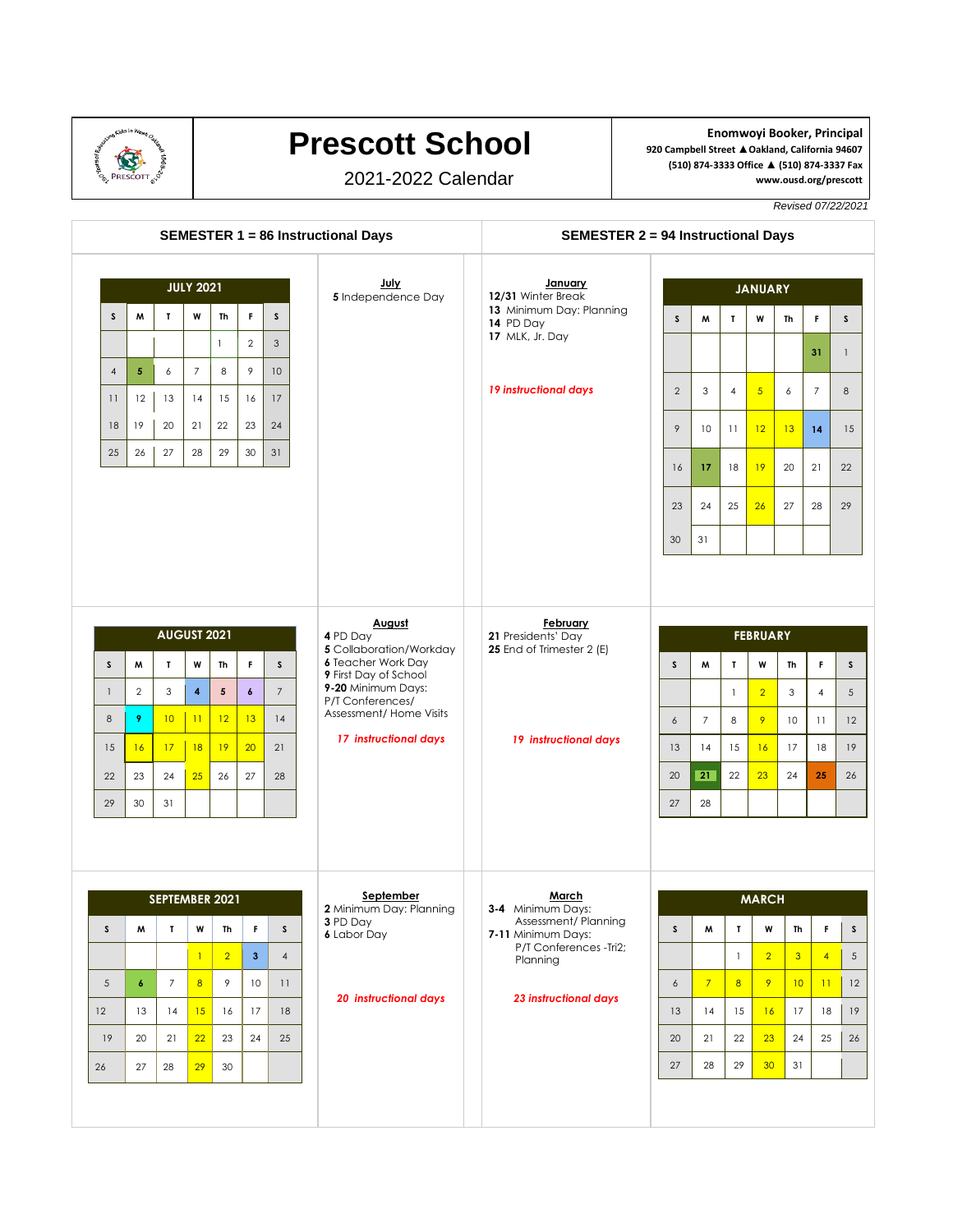

## **Prescott School**

2021-2022 Calendar

**Enomwoyi Booker, Principal 920 Campbell Street ▲Oakland, California 94607 (510) 874-3333 Office ▲ (510) 874-3337 Fax www.ousd.org/prescott**

*Revised 07/22/2021*

| <b>SEMESTER 1 = 86 Instructional Days</b> |                    |                                |                |                |                  |                            |                                                      | <b>SEMESTER 2 = 94 Instructional Days</b>                |                 |                |                |                   |                 |                |                 |
|-------------------------------------------|--------------------|--------------------------------|----------------|----------------|------------------|----------------------------|------------------------------------------------------|----------------------------------------------------------|-----------------|----------------|----------------|-------------------|-----------------|----------------|-----------------|
| <b>JULY 2021</b>                          |                    |                                |                |                |                  | July<br>5 Independence Day | January<br>12/31 Winter Break                        | <b>JANUARY</b>                                           |                 |                |                |                   |                 |                |                 |
| <sub>S</sub>                              | M                  | $\mathbf{I}$                   | W              | Th             | F.               | s                          |                                                      | 13 Minimum Day: Planning<br>14 PD Day<br>17 MLK, Jr. Day | $\mathsf{s}$    | М              | T              | W                 | Th              | F              | $\mathsf{s}$    |
|                                           |                    |                                |                | $\mathbf{1}$   | $\overline{2}$   | 3                          |                                                      |                                                          |                 |                |                |                   |                 | 31             | $\mathbf{1}$    |
| $\overline{4}$                            | $\sqrt{5}$         | 6                              | $\overline{7}$ | 8              | 9                | 10 <sup>°</sup>            |                                                      |                                                          |                 |                |                |                   |                 |                |                 |
| 11                                        | 12                 | 13                             | 14             | 15             | 16               | 17                         |                                                      | 19 instructional days                                    | 2               | 3              | $\overline{4}$ | $5\overline{)}$   | 6               | $\overline{7}$ | 8               |
| 18                                        | 19                 | 20                             | 21             | 22             | 23               | 24                         |                                                      |                                                          | 9               | 10             | 11             | 12                | 13              | 14             | 15              |
| 25                                        | 26                 | 27                             | 28             | 29             | 30               | 31                         |                                                      |                                                          | 16              | 17             | 18             | 19                | 20              | 21             | 22              |
|                                           |                    |                                |                |                |                  |                            |                                                      |                                                          | 23              | 24             | 25             | 26                | 27              | 28             | 29              |
|                                           |                    |                                |                |                |                  |                            |                                                      |                                                          | 30              | 31             |                |                   |                 |                |                 |
|                                           |                    |                                |                |                |                  |                            |                                                      |                                                          |                 |                |                |                   |                 |                |                 |
|                                           |                    |                                |                |                |                  |                            |                                                      |                                                          |                 |                |                |                   |                 |                |                 |
|                                           | <b>AUGUST 2021</b> |                                |                |                |                  |                            | August<br>4 PD Day                                   | <b>February</b><br>21 Presidents' Day                    | <b>FEBRUARY</b> |                |                |                   |                 |                |                 |
| S                                         | M                  | $\mathbf{L}$                   | w              | Th             | F.               | $\mathsf{s}$               | 5 Collaboration/Workday<br><b>6</b> Teacher Work Day | 25 End of Trimester 2 (E)                                | $\mathsf{s}$    | M              | $\mathbf{L}$   | W                 | Th              | F.             | $\mathsf{s}$    |
|                                           |                    |                                |                |                |                  | $\overline{7}$             | 9 First Day of School<br>9-20 Minimum Days:          |                                                          |                 |                |                |                   | 3               | $\overline{4}$ | $5\phantom{.0}$ |
|                                           | $\overline{2}$     | 3                              | 4              | 5              | $\boldsymbol{6}$ |                            |                                                      |                                                          |                 |                | $\mathbf{1}$   | $\overline{2}$    |                 |                |                 |
| $\mathbf{1}$<br>8                         | 9                  | 10                             | 11             | 12             | 13               | 14                         | P/T Conferences/<br>Assessment/ Home Visits          |                                                          | 6               | $\overline{7}$ | 8              | 9                 | 10              | 11             | 12              |
|                                           | 16                 | 17                             | 18             | 19             | 20               | 21                         | 17 instructional days                                | 19 instructional days                                    | 13              | 14             | 15             | 16                | 17              | 18             | 19              |
|                                           | 23                 | 24                             | 25             | 26             | 27               | 28                         |                                                      |                                                          | 20              | 21             | 22             | 23                | 24              | 25             | 26              |
| 15<br>22<br>29                            | 30                 | 31                             |                |                |                  |                            |                                                      |                                                          | 27              | 28             |                |                   |                 |                |                 |
|                                           |                    |                                |                |                |                  |                            |                                                      |                                                          |                 |                |                |                   |                 |                |                 |
|                                           |                    |                                |                |                |                  |                            | September                                            | <b>March</b>                                             |                 |                |                |                   |                 |                |                 |
| $\mathsf{s}$                              | M                  | SEPTEMBER 2021<br>$\mathbf{I}$ | W              | Th             | F                | $\mathsf{S}$               | 2 Minimum Day: Planning<br>3 PD Day                  | 3-4 Minimum Days:<br>Assessment/Planning                 | S               | M              | $\mathbf{I}$   | <b>MARCH</b><br>W | Th              | F.             | $\mathsf{S}$    |
|                                           |                    |                                | $\mathbf{1}$   | $\overline{2}$ | 3 <sup>2</sup>   | $\overline{4}$             | <b>6</b> Labor Day                                   | 7-11 Minimum Days:<br>P/T Conferences -Tri2;             |                 |                | $\mathbf{1}$   | $\overline{2}$    | 3 <sup>5</sup>  | $\overline{4}$ | $5\overline{)}$ |
| 5                                         | $\boldsymbol{6}$   | $\overline{7}$                 | 8              | 9              | 10               | 11                         |                                                      | Planning                                                 | 6               | $7^{1}$        | 8 <sup>2</sup> | 9 <sup>°</sup>    | 10 <sup>°</sup> | 11             | 12              |
| 12                                        | 13                 | 14                             | 15             | 16             | 17               | 18                         | <b>20 instructional days</b>                         | <b>23 instructional days</b>                             | 13              | 14             | 15             | 16                | 17              | 18             | 19              |
| 19                                        | 20                 | 21                             | 22             | 23             | 24               | 25                         |                                                      |                                                          | 20              | 21             | 22             | 23                | 24              | 25             | 26              |